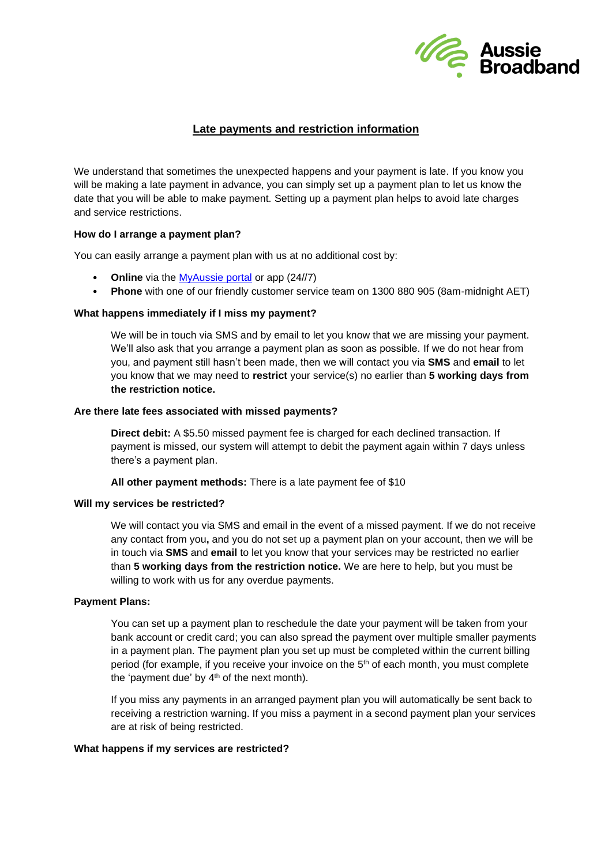

# **Late payments and restriction information**

We understand that sometimes the unexpected happens and your payment is late. If you know you will be making a late payment in advance, you can simply set up a payment plan to let us know the date that you will be able to make payment. Setting up a payment plan helps to avoid late charges and service restrictions.

## **How do I arrange a payment plan?**

You can easily arrange a payment plan with us at no additional cost by:

- **Online** via the **MyAussie portal** or app (24//7)
- **Phone** with one of our friendly customer service team on 1300 880 905 (8am-midnight AET)

## **What happens immediately if I miss my payment?**

We will be in touch via SMS and by email to let you know that we are missing your payment. We'll also ask that you arrange a payment plan as soon as possible. If we do not hear from you, and payment still hasn't been made, then we will contact you via **SMS** and **email** to let you know that we may need to **restrict** your service(s) no earlier than **5 working days from the restriction notice.**

#### **Are there late fees associated with missed payments?**

**Direct debit:** A \$5.50 missed payment fee is charged for each declined transaction. If payment is missed, our system will attempt to debit the payment again within 7 days unless there's a payment plan.

**All other payment methods:** There is a late payment fee of \$10

#### **Will my services be restricted?**

We will contact you via SMS and email in the event of a missed payment. If we do not receive any contact from you**,** and you do not set up a payment plan on your account, then we will be in touch via **SMS** and **email** to let you know that your services may be restricted no earlier than **5 working days from the restriction notice.** We are here to help, but you must be willing to work with us for any overdue payments.

#### **Payment Plans:**

You can set up a payment plan to reschedule the date your payment will be taken from your bank account or credit card; you can also spread the payment over multiple smaller payments in a payment plan. The payment plan you set up must be completed within the current billing period (for example, if you receive your invoice on the  $5<sup>th</sup>$  of each month, you must complete the 'payment due' by  $4<sup>th</sup>$  of the next month).

If you miss any payments in an arranged payment plan you will automatically be sent back to receiving a restriction warning. If you miss a payment in a second payment plan your services are at risk of being restricted.

#### **What happens if my services are restricted?**